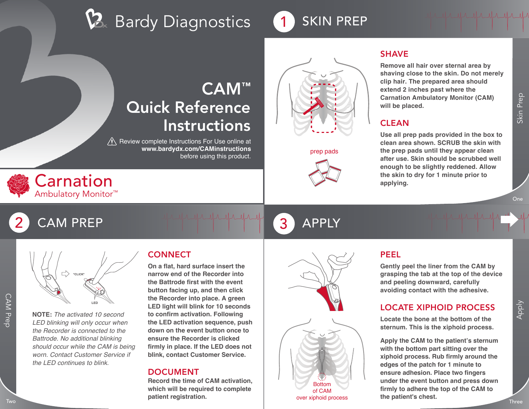# $\mathcal{B}_{\scriptscriptstyle{\kappa}}$  Bardy Diagnostics



# CAM™ Quick Reference Instructions

 $\bigwedge$  Review complete Instructions For Use online at **www.bardydx.com/CAMinstructions** before using this product.





prep pads



#### **SHAVE**

**Remove all hair over sternal area by shaving close to the skin. Do not merely clip hair. The prepared area should extend 2 inches past where the Carnation Ambulatory Monitor (CAM) will be placed.**

<u>In alle alle alle alle alle</u>

#### **CLEAN**

**Use all prep pads provided in the box to clean area shown. SCRUB the skin with the prep pads until they appear clean after use. Skin should be scrubbed well enough to be slightly reddened. Allow the skin to dry for 1 minute prior to applying.**

Skin Prep

# CAM PREP 3 APPLY



\*CLICK\* **LED**

**NOTE:** *The activated 10 second LED blinking will only occur when the Recorder is connected to the Battrode. No additional blinking should occur while the CAM is being worn. Contact Customer Service if the LED continues to blink.*

## **CONNECT**

**On a flat, hard surface insert the narrow end of the Recorder into the Battrode first with the event button facing up, and then click the Recorder into place. A green LED light will blink for 10 seconds to confirm activation. Following the LED activation sequence, push down on the event button once to ensure the Recorder is clicked firmly in place. If the LED does not blink, contact Customer Service.**

#### DOCUMENT

**Record the time of CAM activation, which will be required to complete patient registration.**





#### over xiphoid process

PEEL

**Gently peel the liner from the CAM by grasping the tab at the top of the device and peeling downward, carefully avoiding contact with the adhesive.**

#### LOCATE XIPHOID PROCESS

**Locate the bone at the bottom of the sternum. This is the xiphoid process.**

The Recorder into place. A green<br>
LED blinking will only occur when<br>
the Recorder into place. A green<br>
LED blinking will only occur when<br>
the Recorder is connected to the under the CAM is being<br>
when the New on the event b **Apply the CAM to the patient's sternum with the bottom part sitting over the xiphoid process. Rub firmly around the edges of the patch for 1 minute to ensure adhesion. Place two fingers under the event button and press down firmly to adhere the top of the CAM to the patient's chest.**

Apply